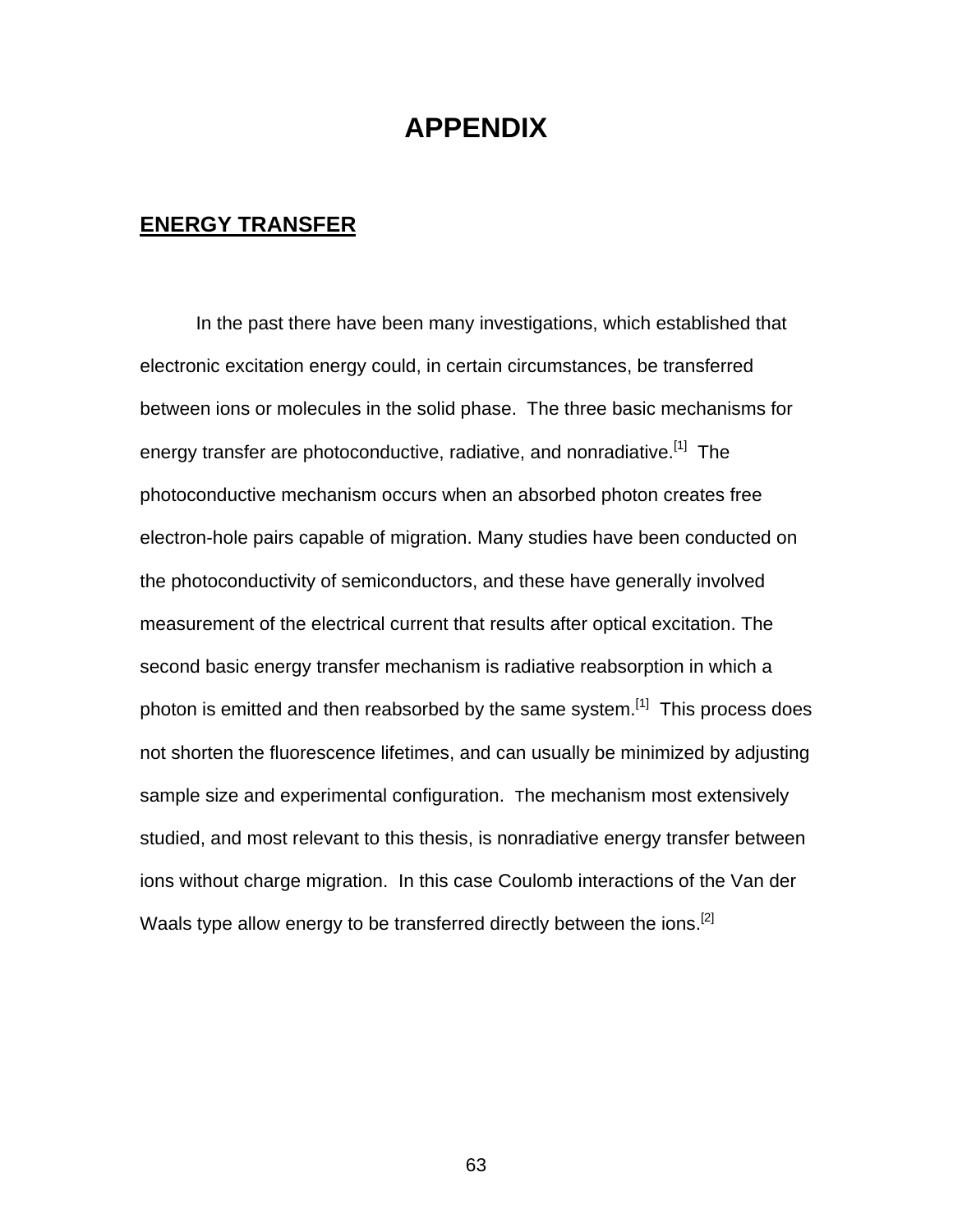# **APPENDIX**

## **ENERGY TRANSFER**

In the past there have been many investigations, which established that electronic excitation energy could, in certain circumstances, be transferred between ions or molecules in the solid phase. The three basic mechanisms for energy transfer are photoconductive, radiative, and nonradiative.<sup>[1]</sup> The photoconductive mechanism occurs when an absorbed photon creates free electron-hole pairs capable of migration. Many studies have been conducted on the photoconductivity of semiconductors, and these have generally involved measurement of the electrical current that results after optical excitation. The second basic energy transfer mechanism is radiative reabsorption in which a photon is emitted and then reabsorbed by the same system.<sup>[1]</sup> This process does not shorten the fluorescence lifetimes, and can usually be minimized by adjusting sample size and experimental configuration. The mechanism most extensively studied, and most relevant to this thesis, is nonradiative energy transfer between ions without charge migration. In this case Coulomb interactions of the Van der Waals type allow energy to be transferred directly between the ions.<sup>[2]</sup>

63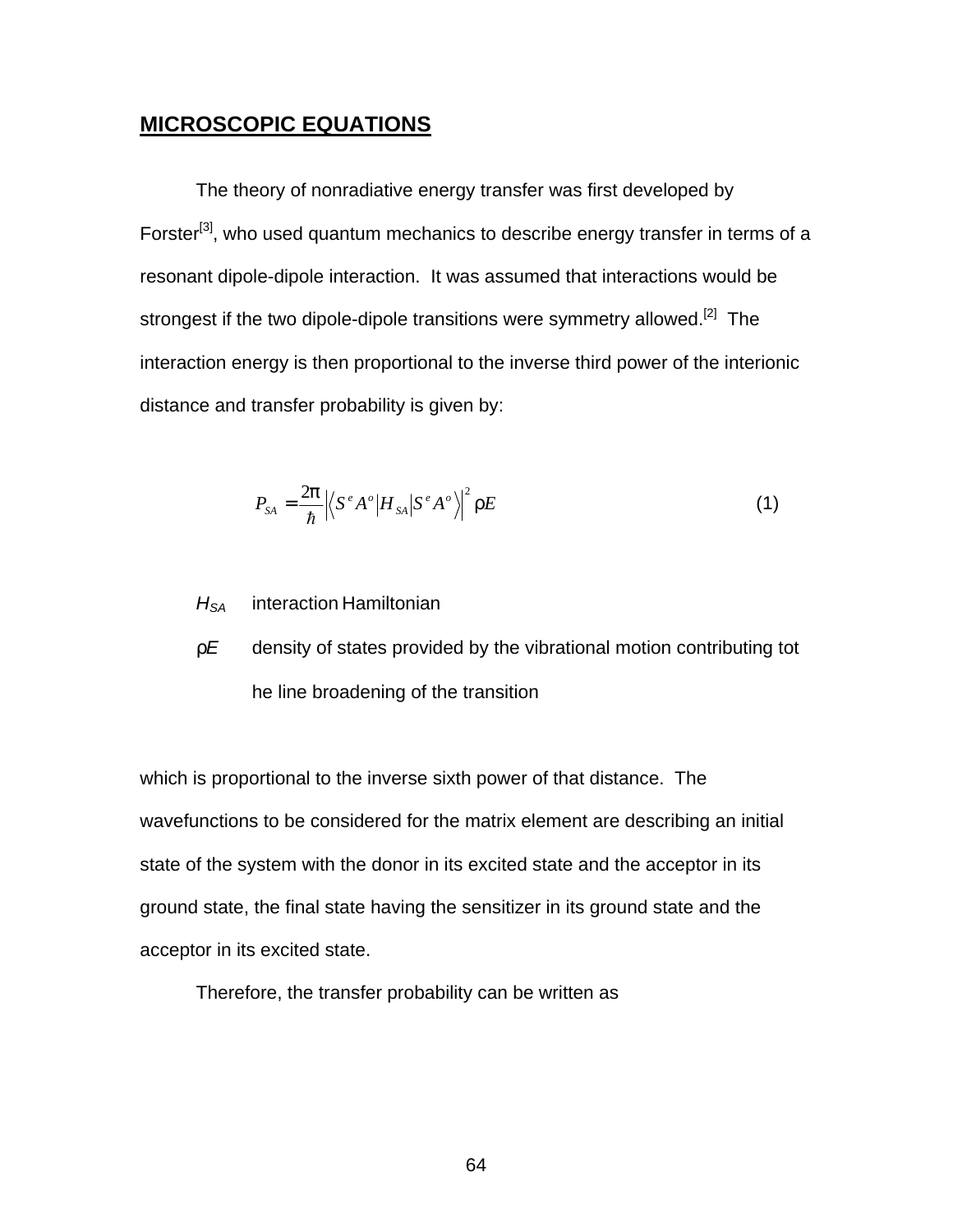## **MICROSCOPIC EQUATIONS**

The theory of nonradiative energy transfer was first developed by Forster<sup>[3]</sup>, who used quantum mechanics to describe energy transfer in terms of a resonant dipole-dipole interaction. It was assumed that interactions would be strongest if the two dipole-dipole transitions were symmetry allowed.<sup>[2]</sup> The interaction energy is then proportional to the inverse third power of the interionic distance and transfer probability is given by:

$$
P_{SA} = \frac{2\mathsf{D}}{\hbar} \left| \left\langle S^e A^o \middle| H_{SA} \middle| S^e A^o \right\rangle \right|^2 \mathsf{F} E \tag{1}
$$

- *HSA* interaction Hamiltonian
- *rE* density of states provided by the vibrational motion contributing tot he line broadening of the transition

which is proportional to the inverse sixth power of that distance. The wavefunctions to be considered for the matrix element are describing an initial state of the system with the donor in its excited state and the acceptor in its ground state, the final state having the sensitizer in its ground state and the acceptor in its excited state.

Therefore, the transfer probability can be written as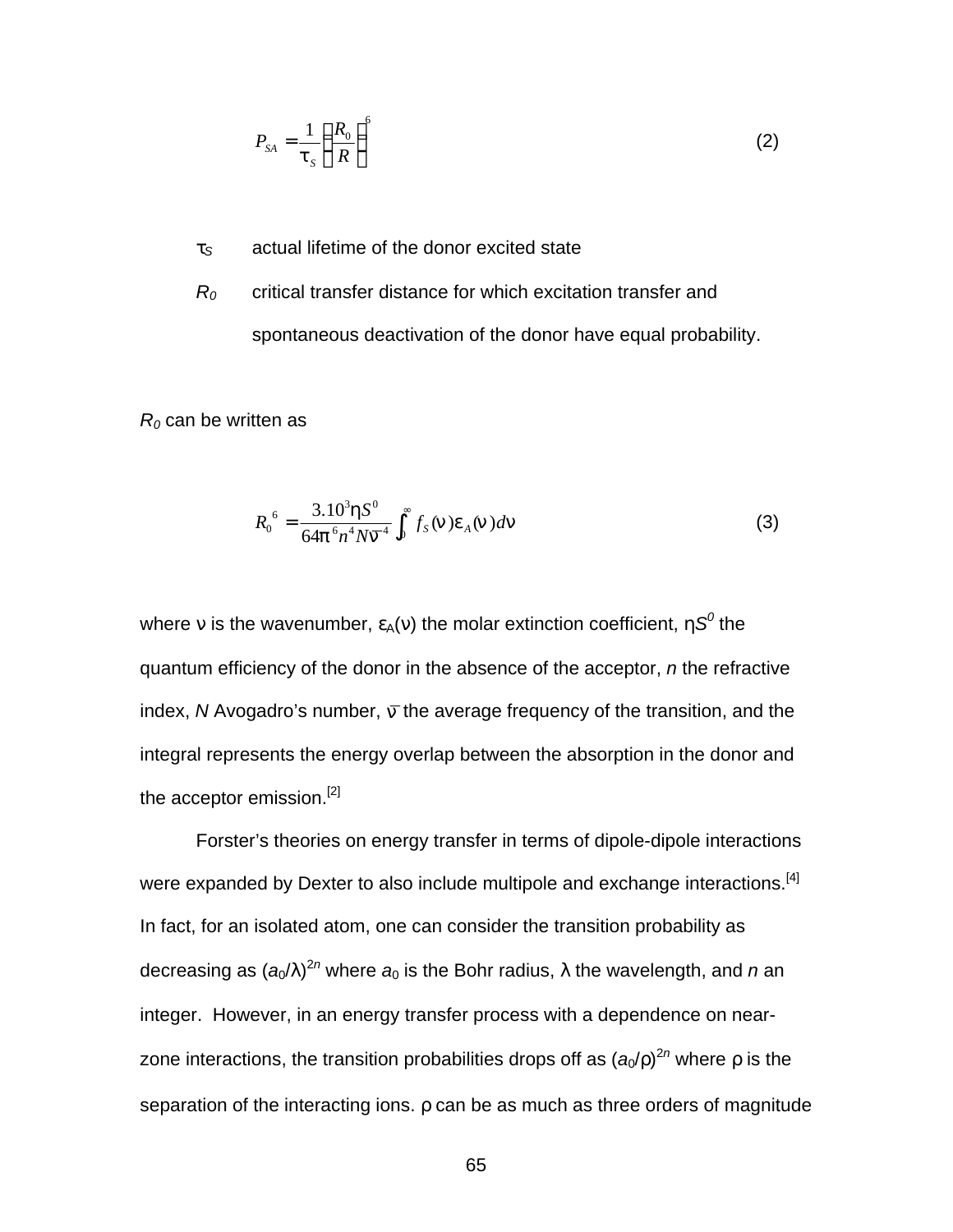$$
P_{SA} = \frac{1}{\mathsf{t}_s} \left(\frac{R_0}{R}\right)^6 \tag{2}
$$

*t<sup>S</sup>* actual lifetime of the donor excited state

*R<sup>0</sup>* critical transfer distance for which excitation transfer and spontaneous deactivation of the donor have equal probability.

*R0* can be written as

$$
R_0^6 = \frac{3.10^3 \text{hS}^0}{64 \text{p}^6 n^4 N \overline{\Omega}^4} \int_0^\infty f_s(\text{m}) \text{e}_A(\text{m}) d\text{m}
$$
 (3)

where  $\rm v$  is the wavenumber,  $\rm \epsilon_{A}(\rm v)$  the molar extinction coefficient,  $\rm hS^{0}$  the quantum efficiency of the donor in the absence of the acceptor, *n* the refractive index, *N* Avogadro's number, *n* the average frequency of the transition, and the integral represents the energy overlap between the absorption in the donor and the acceptor emission.<sup>[2]</sup>

Forster's theories on energy transfer in terms of dipole-dipole interactions were expanded by Dexter to also include multipole and exchange interactions.<sup>[4]</sup> In fact, for an isolated atom, one can consider the transition probability as decreasing as (*a*0/λ) 2*n* where *a*0 is the Bohr radius, λ the wavelength, and *n* an integer. However, in an energy transfer process with a dependence on nearzone interactions, the transition probabilities drops off as (a<sub>0</sub>/r)<sup>2n</sup> where r is the separation of the interacting ions. *r* can be as much as three orders of magnitude

65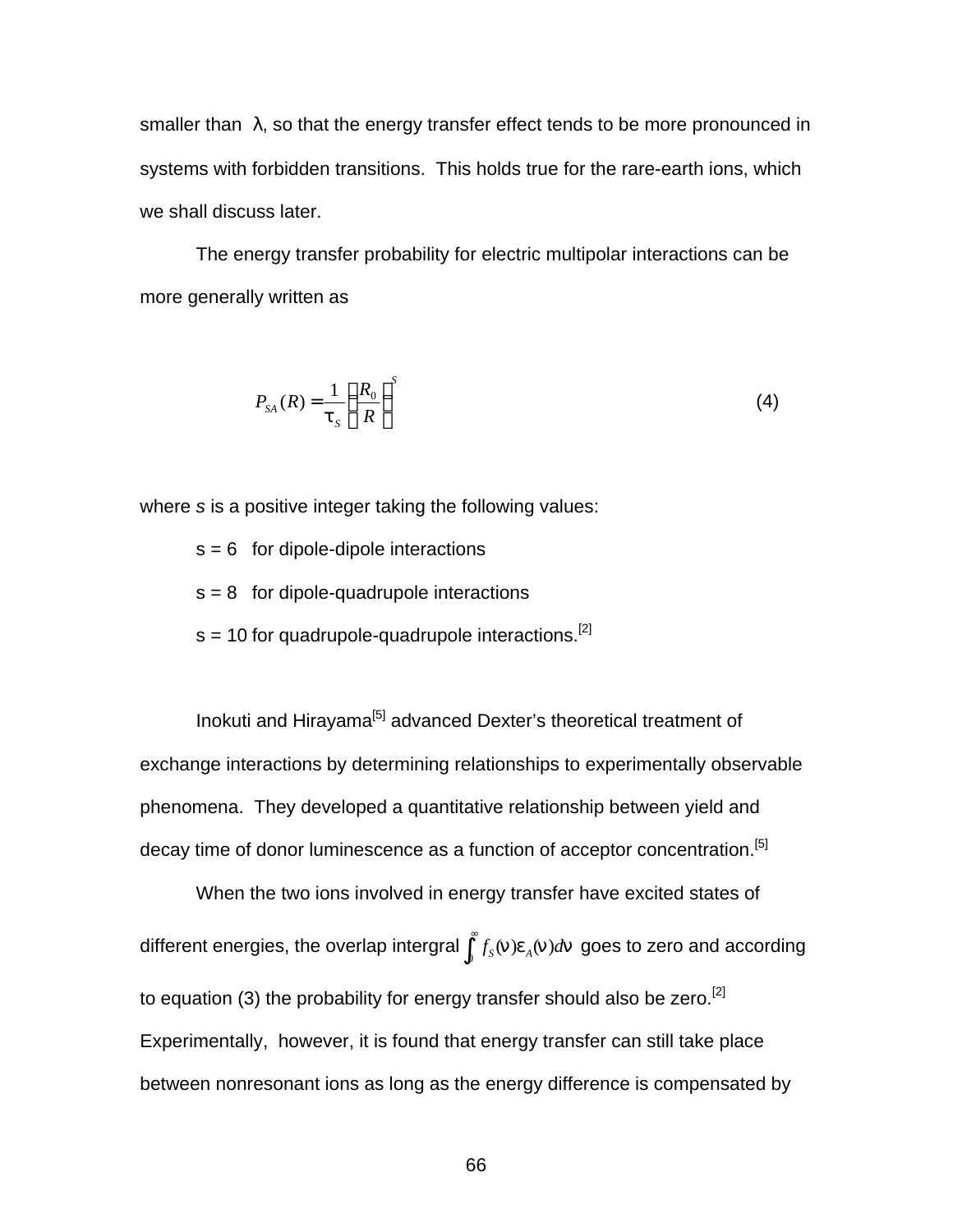smaller than  $\lambda$ , so that the energy transfer effect tends to be more pronounced in systems with forbidden transitions. This holds true for the rare-earth ions, which we shall discuss later.

The energy transfer probability for electric multipolar interactions can be more generally written as

$$
P_{SA}(R) = \frac{1}{\mathsf{t}_s} \left(\frac{R_0}{R}\right)^s \tag{4}
$$

where *s* is a positive integer taking the following values:

 $s = 6$  for dipole-dipole interactions

- $s = 8$  for dipole-quadrupole interactions
- $s = 10$  for quadrupole-quadrupole interactions.<sup>[2]</sup>

Inokuti and Hirayama<sup>[5]</sup> advanced Dexter's theoretical treatment of exchange interactions by determining relationships to experimentally observable phenomena. They developed a quantitative relationship between yield and decay time of donor luminescence as a function of acceptor concentration.<sup>[5]</sup>

When the two ions involved in energy transfer have excited states of different energies, the overlap intergral  $\int_0^\infty$  $\int_0^{\infty} f_{\cal S}({\boldsymbol{\mathsf{n}}})$ *e*<sub>A</sub>(n)*d*n goes to zero and according to equation (3) the probability for energy transfer should also be zero.<sup>[2]</sup> Experimentally, however, it is found that energy transfer can still take place between nonresonant ions as long as the energy difference is compensated by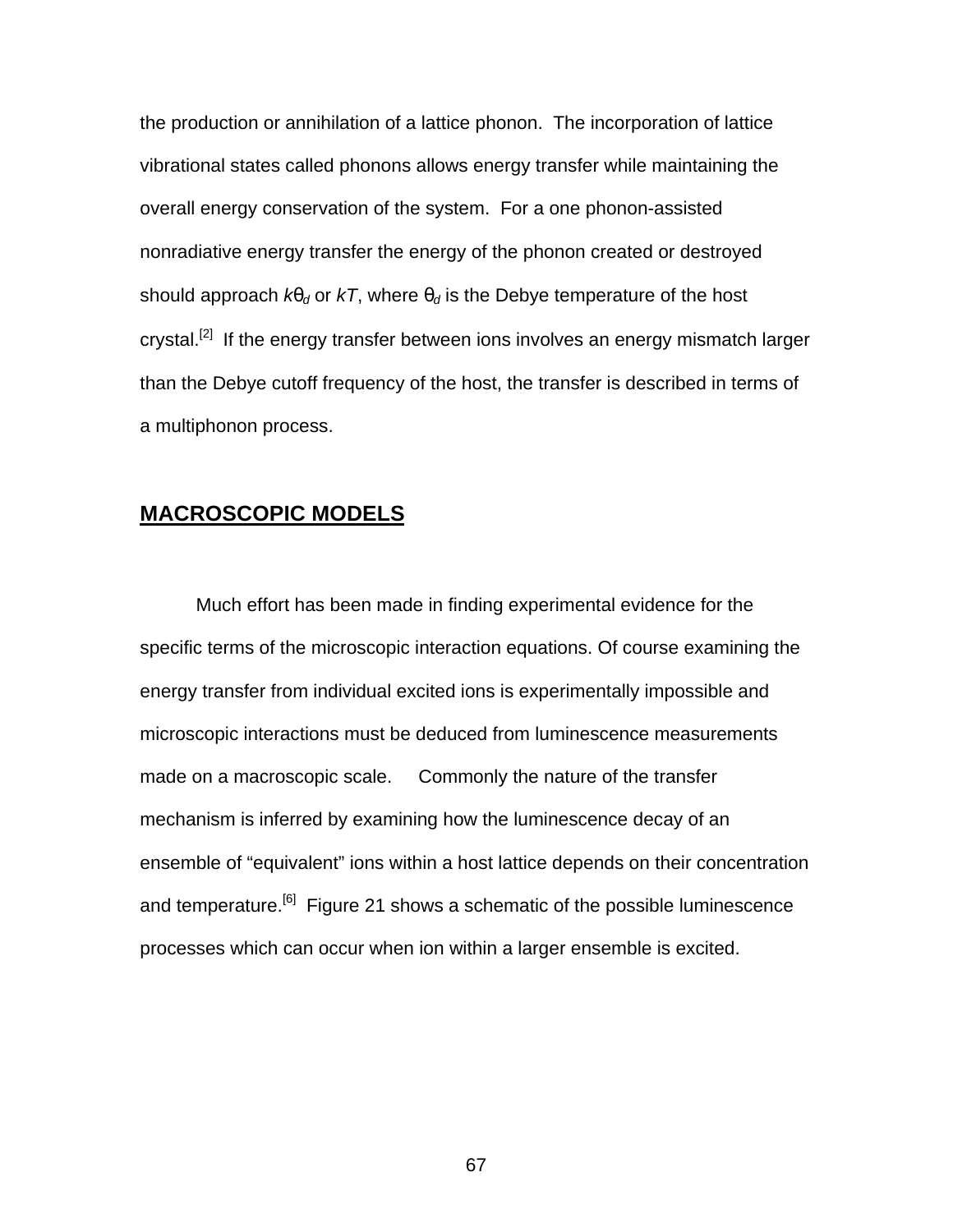the production or annihilation of a lattice phonon. The incorporation of lattice vibrational states called phonons allows energy transfer while maintaining the overall energy conservation of the system. For a one phonon-assisted nonradiative energy transfer the energy of the phonon created or destroyed should approach  $kq_d$  or  $kT$ , where  $q_d$  is the Debye temperature of the host crystal.<sup>[2]</sup> If the energy transfer between ions involves an energy mismatch larger than the Debye cutoff frequency of the host, the transfer is described in terms of a multiphonon process.

#### **MACROSCOPIC MODELS**

Much effort has been made in finding experimental evidence for the specific terms of the microscopic interaction equations. Of course examining the energy transfer from individual excited ions is experimentally impossible and microscopic interactions must be deduced from luminescence measurements made on a macroscopic scale. Commonly the nature of the transfer mechanism is inferred by examining how the luminescence decay of an ensemble of "equivalent" ions within a host lattice depends on their concentration and temperature.<sup>[6]</sup> Figure 21 shows a schematic of the possible luminescence processes which can occur when ion within a larger ensemble is excited.

67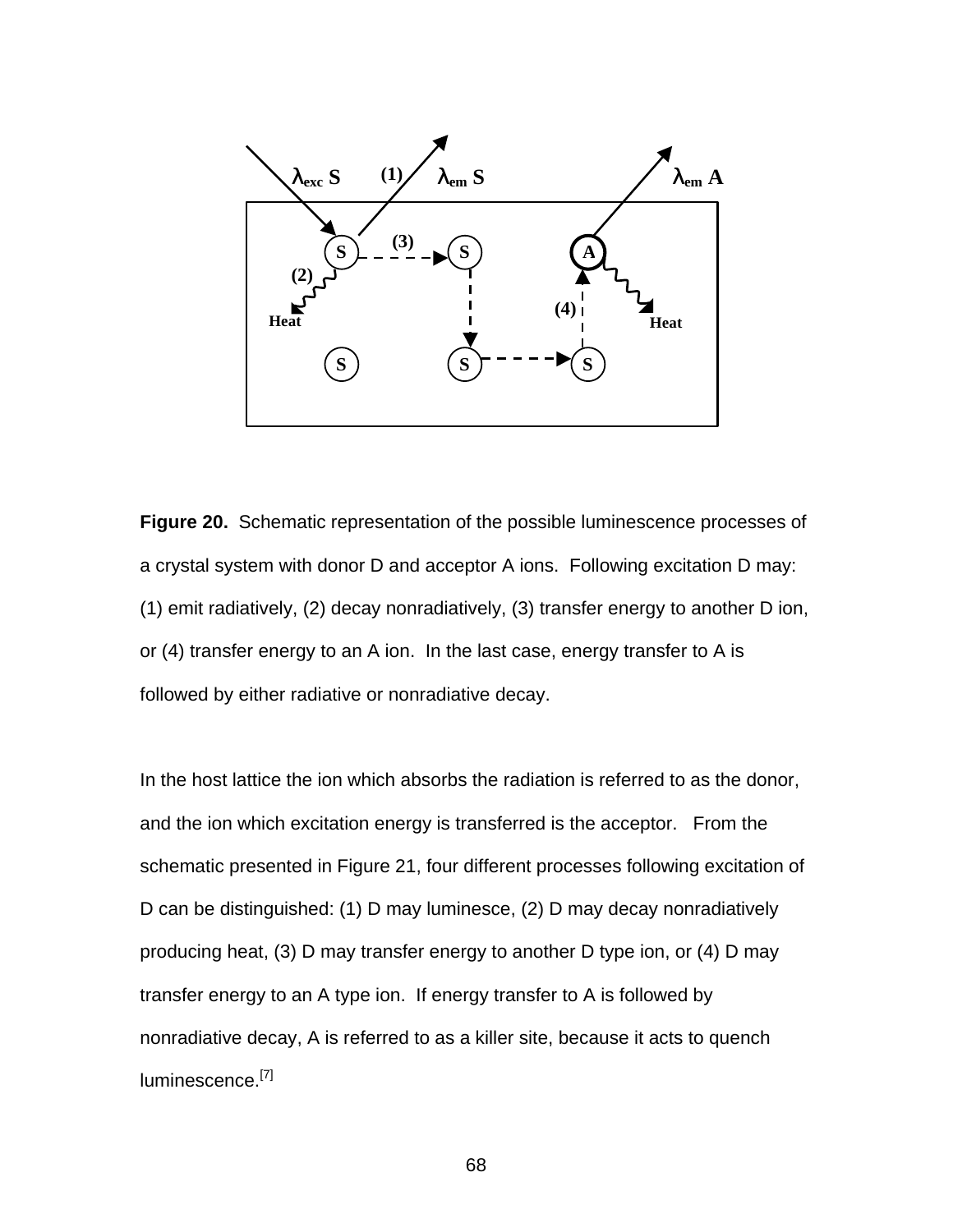

**Figure 20.** Schematic representation of the possible luminescence processes of a crystal system with donor D and acceptor A ions. Following excitation D may: (1) emit radiatively, (2) decay nonradiatively, (3) transfer energy to another D ion, or (4) transfer energy to an A ion. In the last case, energy transfer to A is followed by either radiative or nonradiative decay.

In the host lattice the ion which absorbs the radiation is referred to as the donor, and the ion which excitation energy is transferred is the acceptor. From the schematic presented in Figure 21, four different processes following excitation of D can be distinguished: (1) D may luminesce, (2) D may decay nonradiatively producing heat, (3) D may transfer energy to another D type ion, or (4) D may transfer energy to an A type ion. If energy transfer to A is followed by nonradiative decay, A is referred to as a killer site, because it acts to quench luminescence.<sup>[7]</sup>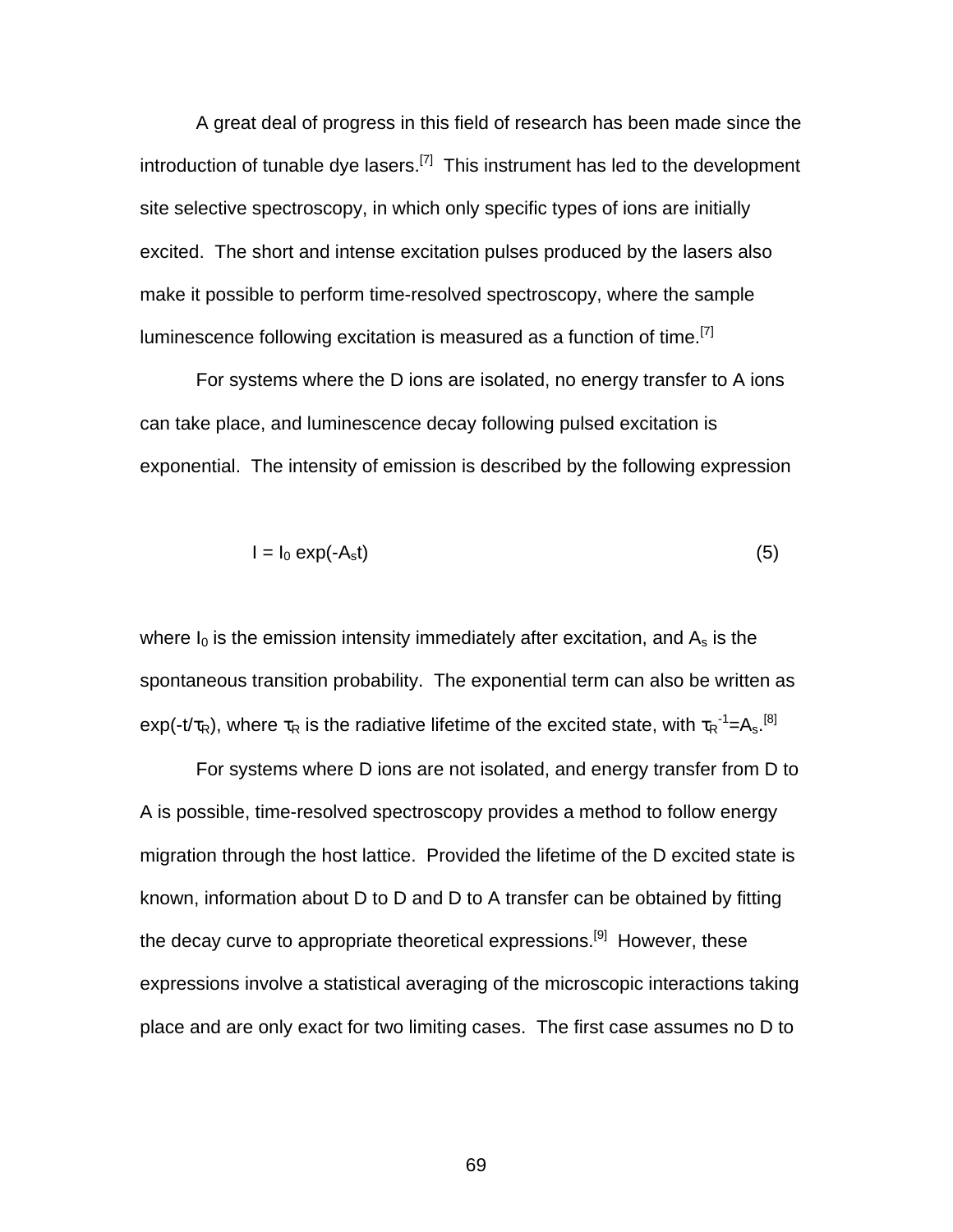A great deal of progress in this field of research has been made since the introduction of tunable dye lasers.<sup>[7]</sup> This instrument has led to the development site selective spectroscopy, in which only specific types of ions are initially excited. The short and intense excitation pulses produced by the lasers also make it possible to perform time-resolved spectroscopy, where the sample luminescence following excitation is measured as a function of time.<sup>[7]</sup>

For systems where the D ions are isolated, no energy transfer to A ions can take place, and luminescence decay following pulsed excitation is exponential. The intensity of emission is described by the following expression

$$
I = I_0 \exp(-A_s t) \tag{5}
$$

where  $I_0$  is the emission intensity immediately after excitation, and  $A_s$  is the spontaneous transition probability. The exponential term can also be written as exp(-t/ $\tau_R$ ), where  $\tau_R$  is the radiative lifetime of the excited state, with  ${\tau_R}^{-1} = A_s$ .<sup>[8]</sup>

For systems where D ions are not isolated, and energy transfer from D to A is possible, time-resolved spectroscopy provides a method to follow energy migration through the host lattice. Provided the lifetime of the D excited state is known, information about D to D and D to A transfer can be obtained by fitting the decay curve to appropriate theoretical expressions.<sup>[9]</sup> However, these expressions involve a statistical averaging of the microscopic interactions taking place and are only exact for two limiting cases. The first case assumes no D to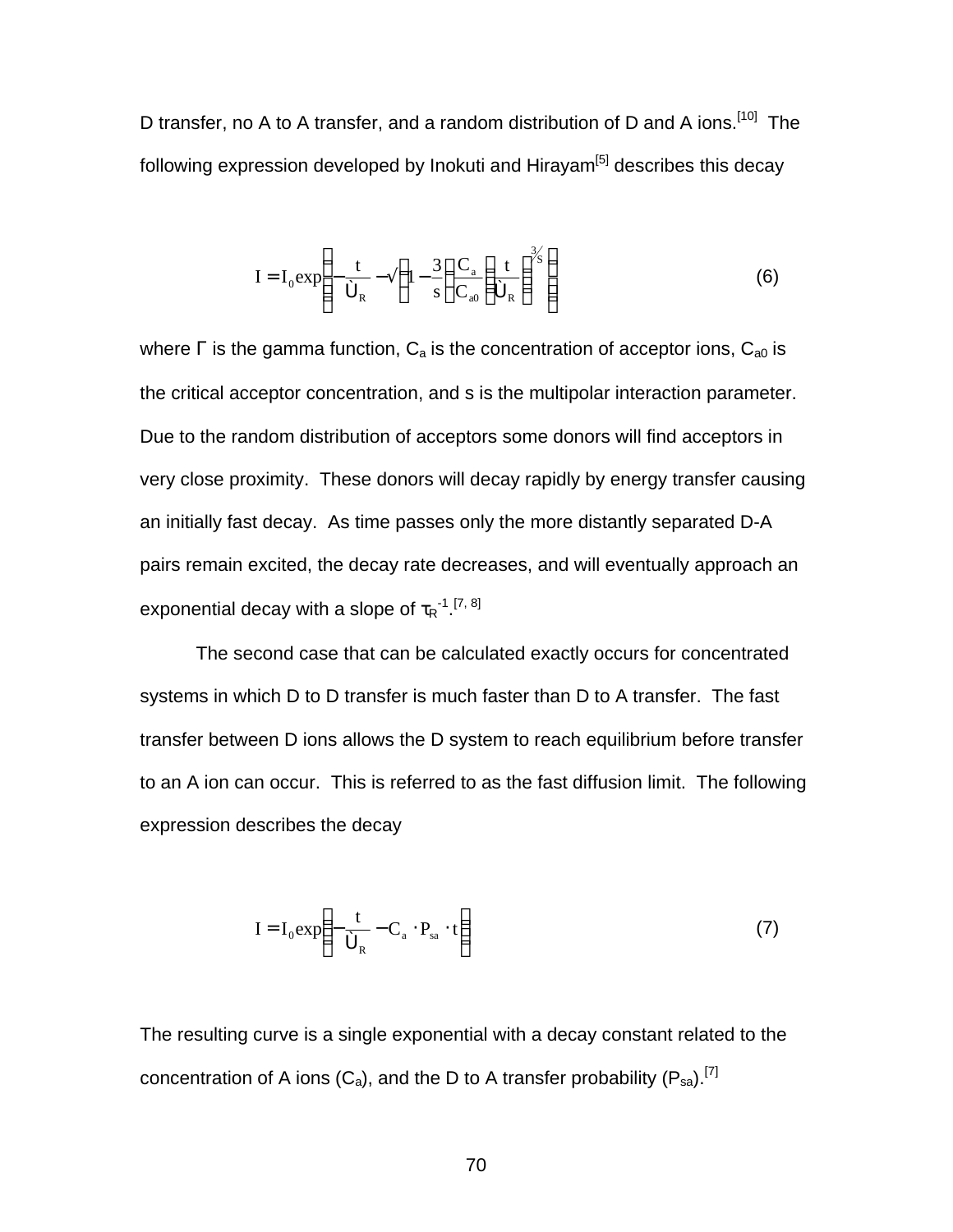D transfer, no A to A transfer, and a random distribution of D and A ions.<sup>[10]</sup> The following expression developed by Inokuti and Hirayam $[5]$  describes this decay

$$
I = I_0 \exp\left(-\frac{t}{\hat{\sigma}_R} - \tilde{A} \left(1 - \frac{3}{s}\right) \frac{C_a}{C_{a0}} \left(\frac{t}{\hat{\sigma}_R}\right)^{3/2}\right)
$$
(6)

where  $\Gamma$  is the gamma function,  $C_a$  is the concentration of acceptor ions,  $C_{a0}$  is the critical acceptor concentration, and s is the multipolar interaction parameter. Due to the random distribution of acceptors some donors will find acceptors in very close proximity. These donors will decay rapidly by energy transfer causing an initially fast decay. As time passes only the more distantly separated D-A pairs remain excited, the decay rate decreases, and will eventually approach an exponential decay with a slope of  $\tau_R$ <sup>-1</sup>.<sup>[7, 8]</sup>

The second case that can be calculated exactly occurs for concentrated systems in which D to D transfer is much faster than D to A transfer. The fast transfer between D ions allows the D system to reach equilibrium before transfer to an A ion can occur. This is referred to as the fast diffusion limit. The following expression describes the decay

$$
I = I_0 \exp\left(-\frac{t}{\hat{\sigma}_R} - C_a \cdot P_{sa} \cdot t\right)
$$
 (7)

The resulting curve is a single exponential with a decay constant related to the concentration of A ions  $(C_a)$ , and the D to A transfer probability  $(P_{sa})$ .<sup>[7]</sup>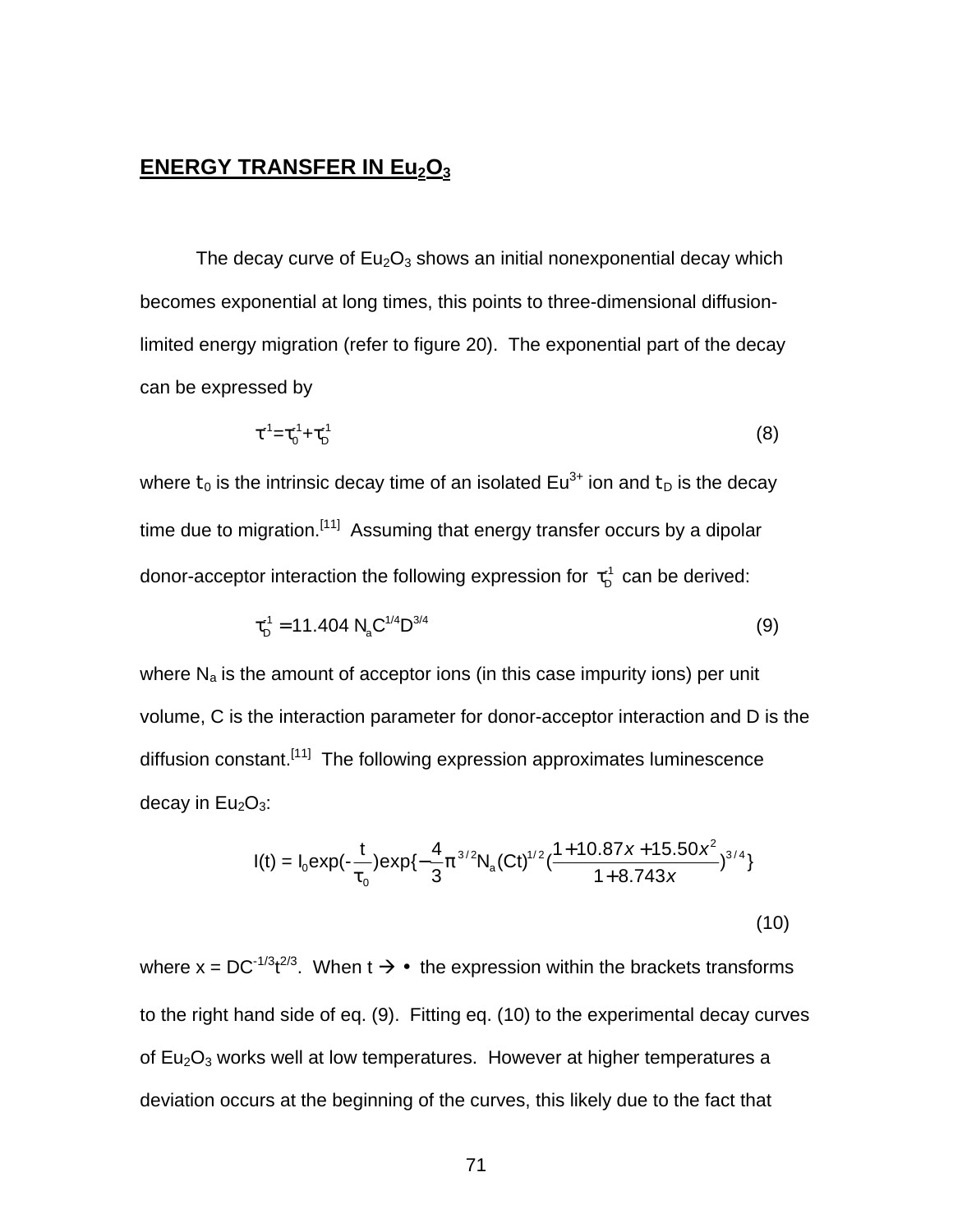## **ENERGY TRANSFER IN Eu2O<sup>3</sup>**

The decay curve of  $Eu_2O_3$  shows an initial nonexponential decay which becomes exponential at long times, this points to three-dimensional diffusionlimited energy migration (refer to figure 20). The exponential part of the decay can be expressed by

$$
\tau^{-1} = \tau_0^{-1} + \tau_0^{-1} \tag{8}
$$

where  $t_0$  is the intrinsic decay time of an isolated Eu<sup>3+</sup> ion and  $t_D$  is the decay time due to migration.<sup>[11]</sup> Assuming that energy transfer occurs by a dipolar donor-acceptor interaction the following expression for  $\,\tau_{\scriptscriptstyle\mathrm{D}}^{\scriptscriptstyle\mathrm{1}}\,$  can be derived:

$$
\tau_{D}^{-1} = 11.404 \text{ N}_{a} \text{C}^{1/4} \text{D}^{3/4} \tag{9}
$$

where  $N_a$  is the amount of acceptor ions (in this case impurity ions) per unit volume, C is the interaction parameter for donor-acceptor interaction and D is the diffusion constant.<sup>[11]</sup> The following expression approximates luminescence decay in  $Eu<sub>2</sub>O<sub>3</sub>$ :

$$
I(t) = I_0 \exp(-\frac{t}{t_0}) \exp\{-\frac{4}{3}p^{3/2}N_a (Ct)^{1/2} (\frac{1+10.87x+15.50x^2}{1+8.743x})^{3/4}\}
$$
\n(10)

where x = DC<sup>-1/3</sup>t<sup>2/3</sup>. When t  $\rightarrow$  ¥ the expression within the brackets transforms to the right hand side of eq. (9). Fitting eq. (10) to the experimental decay curves of  $Eu<sub>2</sub>O<sub>3</sub>$  works well at low temperatures. However at higher temperatures a deviation occurs at the beginning of the curves, this likely due to the fact that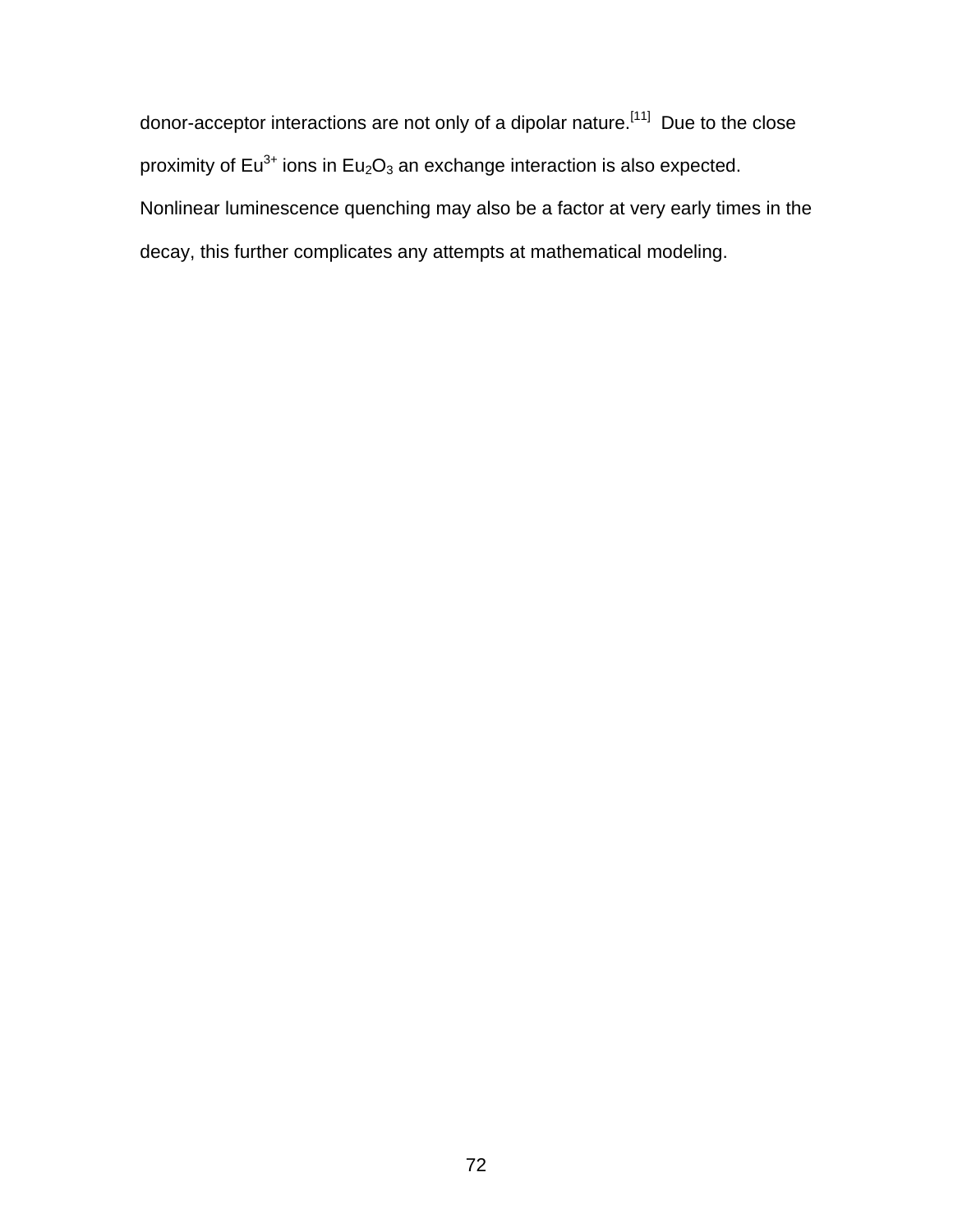donor-acceptor interactions are not only of a dipolar nature.<sup>[11]</sup> Due to the close proximity of  $Eu^{3+}$  ions in  $Eu_2O_3$  an exchange interaction is also expected. Nonlinear luminescence quenching may also be a factor at very early times in the decay, this further complicates any attempts at mathematical modeling.